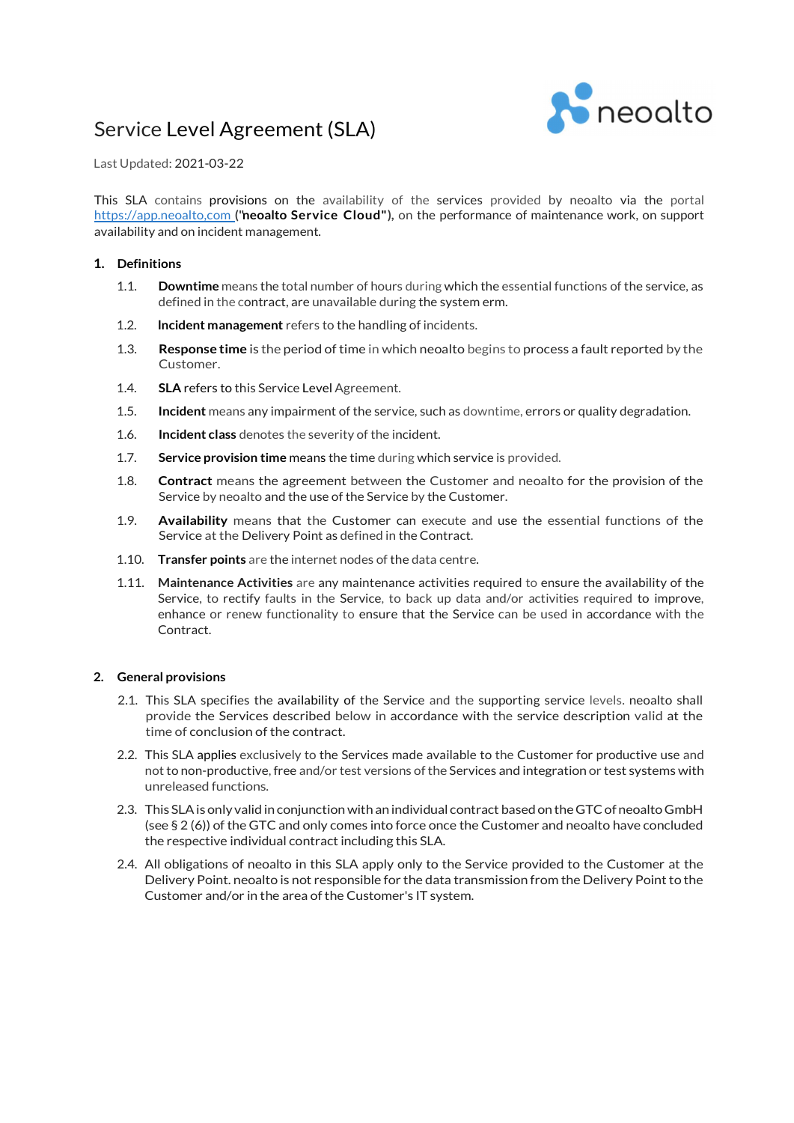# Service Level Agreement (SLA)



Last Updated: 2021-03-22

This SLA contains provisions on the availability of the services provided by neoalto via the portal https://app.neoalto.com ("neoalto Service Cloud"), on the performance of maintenance work, on support availability and on incident management.

## 1. Definitions

- 1.1. Downtime means the total number of hours during which the essential functions of the service, as defined in the contract, are unavailable during the system erm.
- 1.2. **Incident management** refers to the handling of incidents.
- 1.3. Response time is the period of time in which neoalto begins to process a fault reported by the Customer.
- 1.4. SLA refers to this Service Level Agreement.
- 1.5. Incident means any impairment of the service, such as downtime, errors or quality degradation.
- 1.6. Incident class denotes the severity of the incident.
- 1.7. Service provision time means the time during which service is provided.
- 1.8. **Contract** means the agreement between the Customer and neoalto for the provision of the Service by neoalto and the use of the Service by the Customer.
- 1.9. Availability means that the Customer can execute and use the essential functions of the Service at the Delivery Point as defined in the Contract.
- 1.10. Transfer points are the internet nodes of the data centre.
- 1.11. Maintenance Activities are any maintenance activities required to ensure the availability of the Service, to rectify faults in the Service, to back up data and/or activities required to improve, enhance or renew functionality to ensure that the Service can be used in accordance with the Contract

## 2. General provisions

- 2.1. This SLA specifies the availability of the Service and the supporting service levels. neoalto shall provide the Services described below in accordance with the service description valid at the time of conclusion of the contract.
- 2.2. This SLA applies exclusively to the Services made available to the Customer for productive use and not to non-productive, free and/or test versions of the Services and integration or test systems with unreleased functions.
- 2.3. This SLA is only valid in conjunction with an individual contract based on the GTC of neoalto GmbH (see § 2 (6)) of the GTC and only comes into force once the Customer and neoalto have concluded the respective individual contract including this SLA.
- 2.4. All obligations of neoalto in this SLA apply only to the Service provided to the Customer at the Delivery Point. neoalto is not responsible for the data transmission from the Delivery Point to the Customer and/or in the area of the Customer's IT system.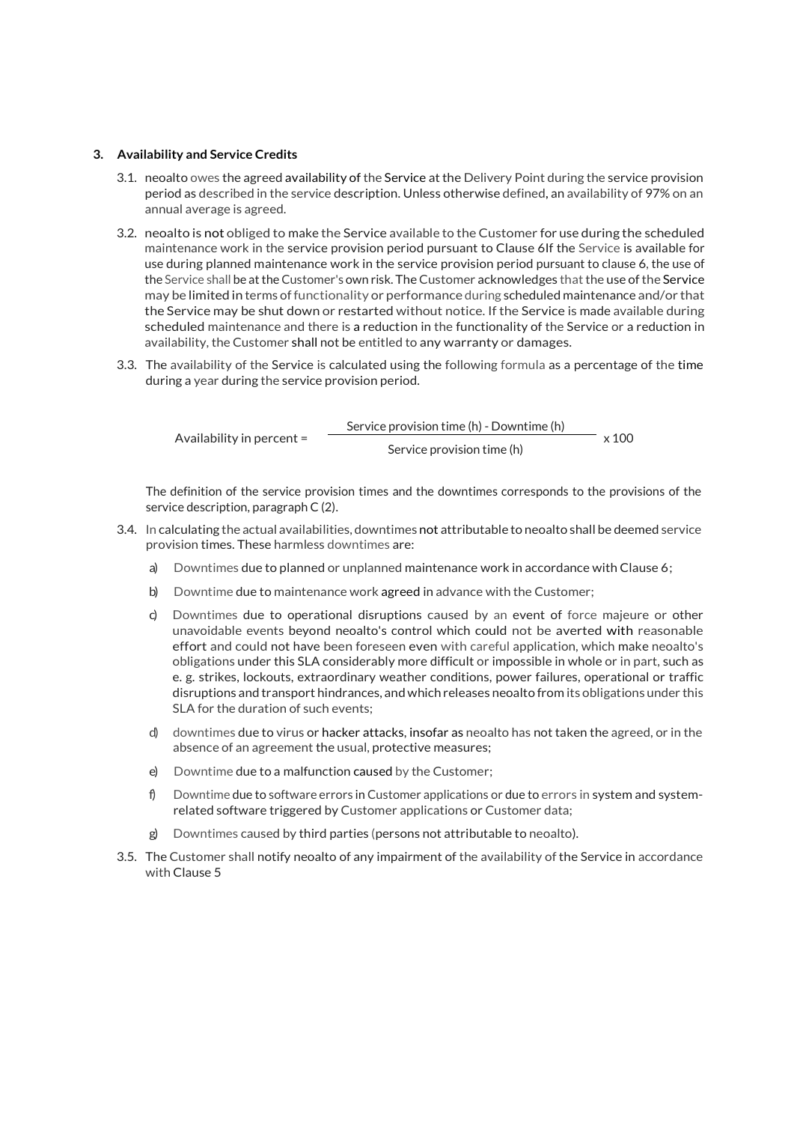#### 3. Availability and Service Credits

- 3.1. neoalto owes the agreed availability of the Service at the Delivery Point during the service provision period as described in the service description. Unless otherwise defined, an availability of 97% on an annual average is agreed.
- 3.2. neoalto is not obliged to make the Service available to the Customer for use during the scheduled maintenance work in the service provision period pursuant to Clause 6If the Service is available for use during planned maintenance work in the service provision period pursuant to clause 6, the use of the Service shall be at the Customer's own risk. The Customer acknowledges that the use of the Service may be limited in terms of functionality or performance during scheduled maintenance and/or that the Service may be shut down or restarted without notice. If the Service is made available during scheduled maintenance and there is a reduction in the functionality of the Service or a reduction in availability, the Customer shall not be entitled to any warranty or damages.
- 3.3. The availability of the Service is calculated using the following formula as a percentage of the time during a year during the service provision period.

Availability in percent = Service provision time (h) - Downtime (h) x 100 Service provision time (h)

The definition of the service provision times and the downtimes corresponds to the provisions of the service description, paragraph C (2).

- 3.4. In calculating the actual availabilities, downtimes not attributable to neoalto shall be deemed service provision times. These harmless downtimes are:
	- a) Downtimes due to planned or unplanned maintenance work in accordance with Clause 6;
	- b) Downtime due to maintenance work agreed in advance with the Customer;
	- c) Downtimes due to operational disruptions caused by an event of force majeure or other unavoidable events beyond neoalto's control which could not be averted with reasonable effort and could not have been foreseen even with careful application, which make neoalto's obligations under this SLA considerably more difficult or impossible in whole or in part, such as e. g. strikes, lockouts, extraordinary weather conditions, power failures, operational or traffic disruptions and transport hindrances, and which releases neoalto from its obligations under this SLA for the duration of such events:
	- d) downtimes due to virus or hacker attacks, insofar as neoalto has not taken the agreed, or in the absence of an agreement the usual, protective measures;
	- e) Downtime due to a malfunction caused by the Customer;
	- f) Downtime due to software errors in Customer applications or due to errors in system and systemrelated software triggered by Customer applications or Customer data;
	- Downtimes caused by third parties (persons not attributable to neoalto).
- 3.5. The Customer shall notify neoalto of any impairment of the availability of the Service in accordance with Clause 5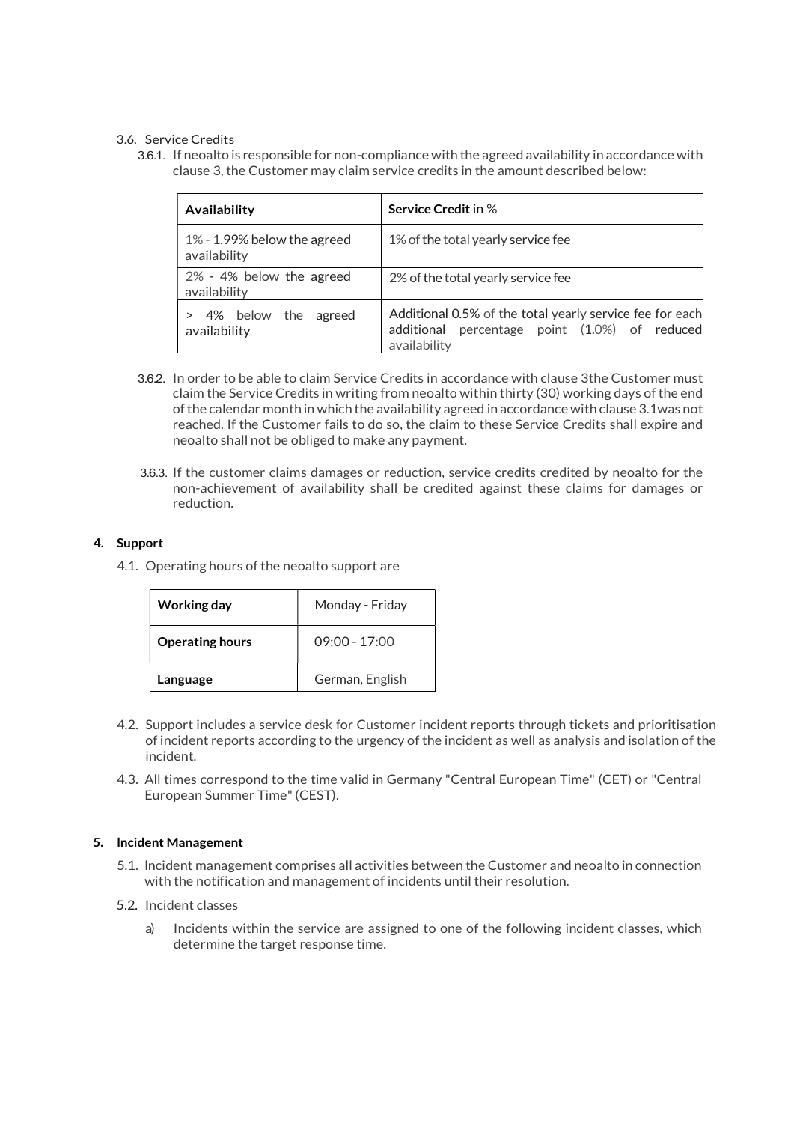## 3.6. Service Credits

3.6.1. If neoalto is responsible for non-compliance with the agreed availability in accordance with clause 3, the Customer may claim service credits in the amount described below:

| Availability                                   | <b>Service Credit in %</b>                                                                                                   |  |
|------------------------------------------------|------------------------------------------------------------------------------------------------------------------------------|--|
| $1\%$ - 1.99% below the agreed<br>availability | 1% of the total yearly service fee                                                                                           |  |
| 2% - 4% below the agreed<br>availability       | 2% of the total yearly service fee                                                                                           |  |
| the<br>4% below<br>agreed<br>availability      | Additional 0.5% of the total yearly service fee for each<br>percentage point (1.0%) of reduced<br>additional<br>availability |  |

- 3.6.2. In order to be able to claim Service Credits in accordance with clause 3the Customer must claim the Service Credits in writing from neoalto within thirty (30) working days of the end of the calendar month in which the availability agreed in accordance with clause 3.1was not reached. If the Customer fails to do so, the claim to these Service Credits shall expire and neoalto shall not be obliged to make any payment.
- 3.6.3. If the customer claims damages or reduction, service credits credited by neoalto for the non-achievement of availability shall be credited against these claims for damages or reduction.

## 4. Support

4.1. Operating hours of the neoalto support are

| Working day            | Monday - Friday |
|------------------------|-----------------|
| <b>Operating hours</b> | $09:00 - 17:00$ |
| Language               | German, English |

- 4.2. Support includes a service desk for Customer incident reports through tickets and prioritisation of incident reports according to the urgency of the incident as well as analysis and isolation of the incident.
- 4.3. All times correspond to the time valid in Germany "Central European Time" (CET) or "Central European Summer Time" (CEST).

## 5. lncident Management

- 5.1. lncident management comprises all activities between the Customer and neoalto in connection with the notification and management of incidents until their resolution.
- 5.2. Incident classes
	- a) Incidents within the service are assigned to one of the following incident classes, which determine the target response time.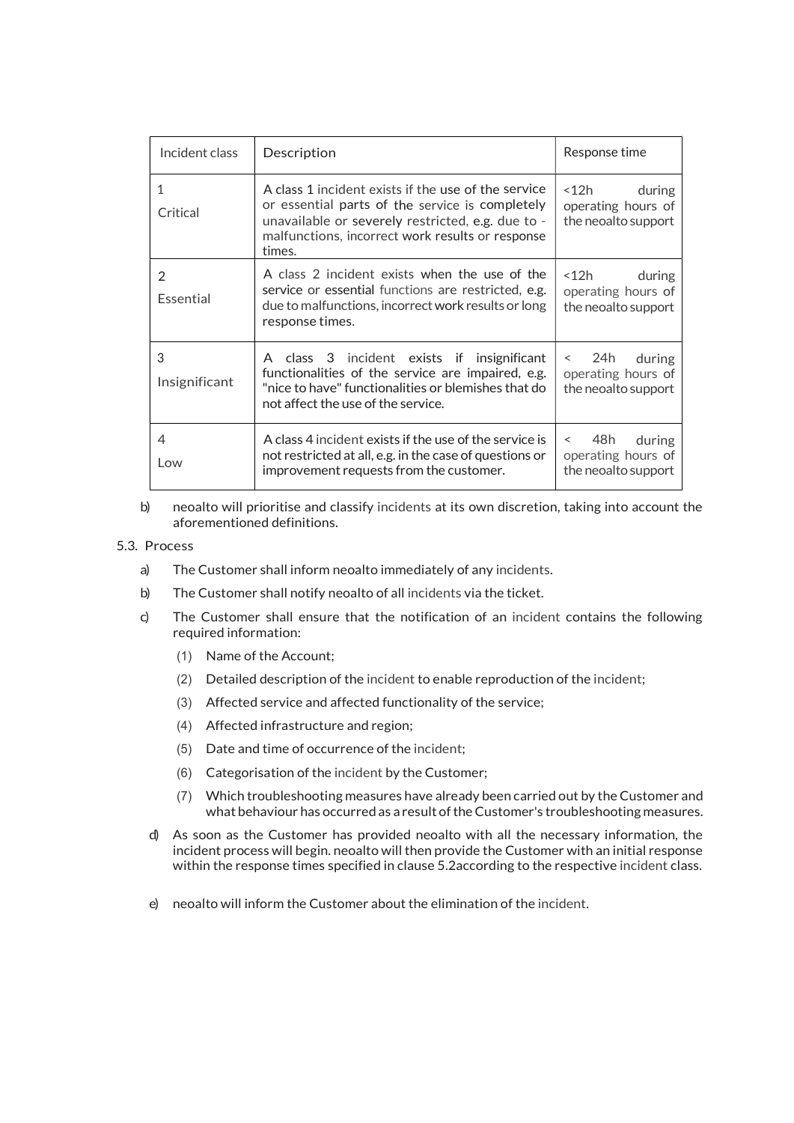| Incident class     | Description                                                                                                                                                                                                               | Response time                                                         |
|--------------------|---------------------------------------------------------------------------------------------------------------------------------------------------------------------------------------------------------------------------|-----------------------------------------------------------------------|
| 1<br>Critical      | A class 1 incident exists if the use of the service<br>or essential parts of the service is completely<br>unavailable or severely restricted, e.g. due to -<br>malfunctions, incorrect work results or response<br>times. | $<$ 12 $h$<br>during<br>operating hours of<br>the neoalto support     |
| 2<br>Essential     | A class 2 incident exists when the use of the<br>service or essential functions are restricted, e.g.<br>due to malfunctions, incorrect work results or long<br>response times.                                            | $<$ 12 $h$<br>during<br>operating hours of<br>the neoalto support     |
| 3<br>Insignificant | A class 3<br>incident exists if insignificant<br>functionalities of the service are impaired, e.g.<br>"nice to have" functionalities or blemishes that do<br>not affect the use of the service.                           | 24h<br>during<br>operating hours of<br>the neoalto support            |
| 4<br>Low           | A class 4 incident exists if the use of the service is<br>not restricted at all, e.g. in the case of questions or<br>improvement requests from the customer.                                                              | 48h<br>during<br>$\,<\,$<br>operating hours of<br>the neoalto support |

b) neoalto will prioritise and classify incidents at its own discretion, taking into account the aforementioned definitions.

## 5.3. Process

- a) The Customer shall inform neoalto immediately of any incidents. b) The Customer shall notify neoalto of all incidents via the ticket.
- 
- c) The Customer shall ensure that the notification of an incident contains the following required information:
	- (1) Name of the Account;
	- (2) Detailed description of the incident to enable reproduction of the incident;
	- (3) Affected service and affected functionality of the service;
	- (4) Affected infrastructure and region;
	- (5) Date and time of occurrence of the incident;
	- (6) Categorisation of the incident by the Customer;
	- (7) Which troubleshooting measures have already been carried out by the Customer and what behaviour has occurred as a result of the Customer's troubleshooting measures.
	- d) As soon as the Customer has provided neoalto with all the necessary information, the incident process will begin. neoalto will then provide the Customer with an initial response within the response times specified in clause 5.2according to the respective incident class.
	- e) neoalto will inform the Customer about the elimination of the incident.